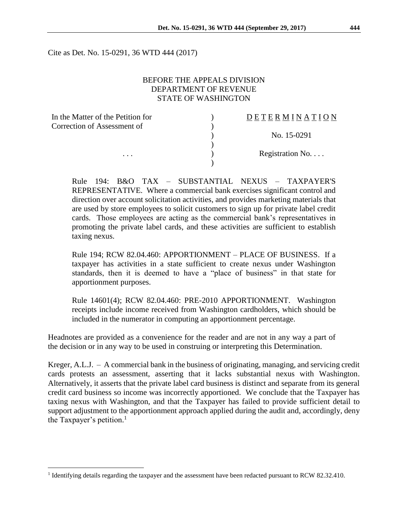Cite as Det. No. 15-0291, 36 WTD 444 (2017)

## BEFORE THE APPEALS DIVISION DEPARTMENT OF REVENUE STATE OF WASHINGTON

| In the Matter of the Petition for | DETERMINATION   |
|-----------------------------------|-----------------|
| Correction of Assessment of       |                 |
|                                   | No. 15-0291     |
|                                   |                 |
| .                                 | Registration No |
|                                   |                 |

Rule 194: B&O TAX – SUBSTANTIAL NEXUS – TAXPAYER'S REPRESENTATIVE. Where a commercial bank exercises significant control and direction over account solicitation activities, and provides marketing materials that are used by store employees to solicit customers to sign up for private label credit cards. Those employees are acting as the commercial bank's representatives in promoting the private label cards, and these activities are sufficient to establish taxing nexus.

Rule 194; RCW 82.04.460: APPORTIONMENT – PLACE OF BUSINESS. If a taxpayer has activities in a state sufficient to create nexus under Washington standards, then it is deemed to have a "place of business" in that state for apportionment purposes.

Rule 14601(4); RCW 82.04.460: PRE-2010 APPORTIONMENT. Washington receipts include income received from Washington cardholders, which should be included in the numerator in computing an apportionment percentage.

Headnotes are provided as a convenience for the reader and are not in any way a part of the decision or in any way to be used in construing or interpreting this Determination.

Kreger, A.L.J. – A commercial bank in the business of originating, managing, and servicing credit cards protests an assessment, asserting that it lacks substantial nexus with Washington. Alternatively, it asserts that the private label card business is distinct and separate from its general credit card business so income was incorrectly apportioned. We conclude that the Taxpayer has taxing nexus with Washington, and that the Taxpayer has failed to provide sufficient detail to support adjustment to the apportionment approach applied during the audit and, accordingly, deny the Taxpayer's petition. 1

 $\overline{a}$ 

<sup>&</sup>lt;sup>1</sup> Identifying details regarding the taxpayer and the assessment have been redacted pursuant to RCW 82.32.410.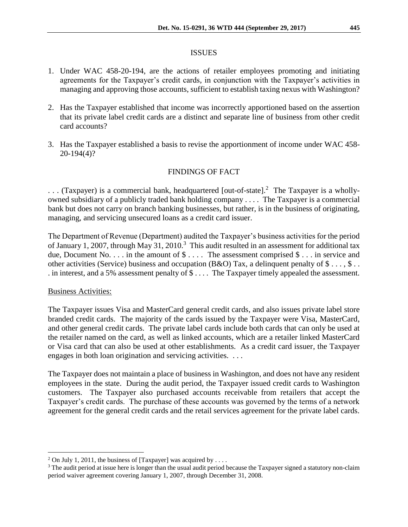#### ISSUES

- 1. Under WAC 458-20-194, are the actions of retailer employees promoting and initiating agreements for the Taxpayer's credit cards, in conjunction with the Taxpayer's activities in managing and approving those accounts, sufficient to establish taxing nexus with Washington?
- 2. Has the Taxpayer established that income was incorrectly apportioned based on the assertion that its private label credit cards are a distinct and separate line of business from other credit card accounts?
- 3. Has the Taxpayer established a basis to revise the apportionment of income under WAC 458- 20-194(4)?

## FINDINGS OF FACT

... (Taxpayer) is a commercial bank, headquartered [out-of-state].<sup>2</sup> The Taxpayer is a whollyowned subsidiary of a publicly traded bank holding company . . . . The Taxpayer is a commercial bank but does not carry on branch banking businesses, but rather, is in the business of originating, managing, and servicing unsecured loans as a credit card issuer.

The Department of Revenue (Department) audited the Taxpayer's business activities for the period of January 1, 2007, through May 31, 2010.<sup>3</sup> This audit resulted in an assessment for additional tax due, Document No. . . . in the amount of  $\$\ldots$  The assessment comprised  $\$\ldots$  in service and other activities (Service) business and occupation (B&O) Tax, a delinquent penalty of  $\$\ldots, \$\ldots$ . in interest, and a 5% assessment penalty of \$ . . . . The Taxpayer timely appealed the assessment.

### Business Activities:

 $\overline{a}$ 

The Taxpayer issues Visa and MasterCard general credit cards, and also issues private label store branded credit cards. The majority of the cards issued by the Taxpayer were Visa, MasterCard, and other general credit cards. The private label cards include both cards that can only be used at the retailer named on the card, as well as linked accounts, which are a retailer linked MasterCard or Visa card that can also be used at other establishments. As a credit card issuer, the Taxpayer engages in both loan origination and servicing activities. . . .

The Taxpayer does not maintain a place of business in Washington, and does not have any resident employees in the state. During the audit period, the Taxpayer issued credit cards to Washington customers. The Taxpayer also purchased accounts receivable from retailers that accept the Taxpayer's credit cards. The purchase of these accounts was governed by the terms of a network agreement for the general credit cards and the retail services agreement for the private label cards.

<sup>&</sup>lt;sup>2</sup> On July 1, 2011, the business of [Taxpayer] was acquired by ....

<sup>&</sup>lt;sup>3</sup> The audit period at issue here is longer than the usual audit period because the Taxpayer signed a statutory non-claim period waiver agreement covering January 1, 2007, through December 31, 2008.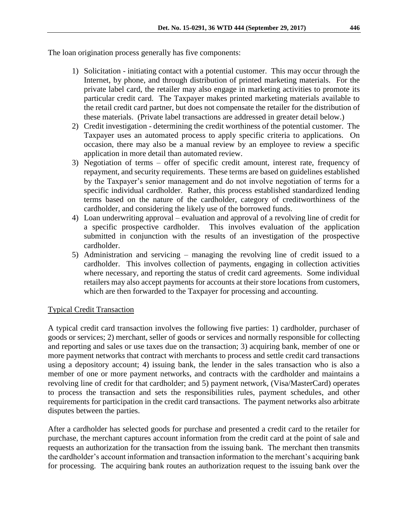The loan origination process generally has five components:

- 1) Solicitation initiating contact with a potential customer. This may occur through the Internet, by phone, and through distribution of printed marketing materials. For the private label card, the retailer may also engage in marketing activities to promote its particular credit card. The Taxpayer makes printed marketing materials available to the retail credit card partner, but does not compensate the retailer for the distribution of these materials. (Private label transactions are addressed in greater detail below.)
- 2) Credit investigation determining the credit worthiness of the potential customer. The Taxpayer uses an automated process to apply specific criteria to applications. On occasion, there may also be a manual review by an employee to review a specific application in more detail than automated review.
- 3) Negotiation of terms offer of specific credit amount, interest rate, frequency of repayment, and security requirements. These terms are based on guidelines established by the Taxpayer's senior management and do not involve negotiation of terms for a specific individual cardholder. Rather, this process established standardized lending terms based on the nature of the cardholder, category of creditworthiness of the cardholder, and considering the likely use of the borrowed funds.
- 4) Loan underwriting approval evaluation and approval of a revolving line of credit for a specific prospective cardholder. This involves evaluation of the application submitted in conjunction with the results of an investigation of the prospective cardholder.
- 5) Administration and servicing managing the revolving line of credit issued to a cardholder. This involves collection of payments, engaging in collection activities where necessary, and reporting the status of credit card agreements. Some individual retailers may also accept payments for accounts at their store locations from customers, which are then forwarded to the Taxpayer for processing and accounting.

# Typical Credit Transaction

A typical credit card transaction involves the following five parties: 1) cardholder, purchaser of goods or services; 2) merchant, seller of goods or services and normally responsible for collecting and reporting and sales or use taxes due on the transaction; 3) acquiring bank, member of one or more payment networks that contract with merchants to process and settle credit card transactions using a depository account; 4) issuing bank, the lender in the sales transaction who is also a member of one or more payment networks, and contracts with the cardholder and maintains a revolving line of credit for that cardholder; and 5) payment network, (Visa/MasterCard) operates to process the transaction and sets the responsibilities rules, payment schedules, and other requirements for participation in the credit card transactions. The payment networks also arbitrate disputes between the parties.

After a cardholder has selected goods for purchase and presented a credit card to the retailer for purchase, the merchant captures account information from the credit card at the point of sale and requests an authorization for the transaction from the issuing bank. The merchant then transmits the cardholder's account information and transaction information to the merchant's acquiring bank for processing. The acquiring bank routes an authorization request to the issuing bank over the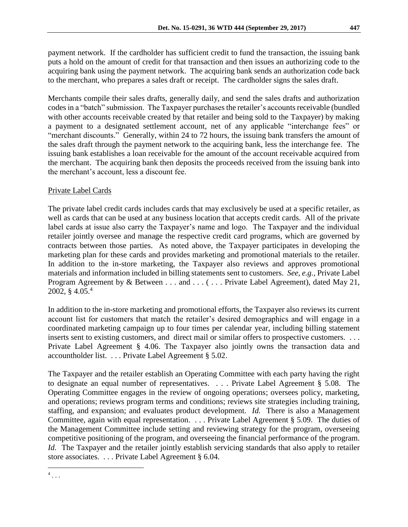payment network. If the cardholder has sufficient credit to fund the transaction, the issuing bank puts a hold on the amount of credit for that transaction and then issues an authorizing code to the acquiring bank using the payment network. The acquiring bank sends an authorization code back to the merchant, who prepares a sales draft or receipt. The cardholder signs the sales draft.

Merchants compile their sales drafts, generally daily, and send the sales drafts and authorization codesin a "batch" submission. The Taxpayer purchasesthe retailer's accountsreceivable (bundled with other accounts receivable created by that retailer and being sold to the Taxpayer) by making a payment to a designated settlement account, net of any applicable "interchange fees" or "merchant discounts." Generally, within 24 to 72 hours, the issuing bank transfers the amount of the sales draft through the payment network to the acquiring bank, less the interchange fee. The issuing bank establishes a loan receivable for the amount of the account receivable acquired from the merchant. The acquiring bank then deposits the proceeds received from the issuing bank into the merchant's account, less a discount fee.

### Private Label Cards

The private label credit cards includes cards that may exclusively be used at a specific retailer, as well as cards that can be used at any business location that accepts credit cards. All of the private label cards at issue also carry the Taxpayer's name and logo. The Taxpayer and the individual retailer jointly oversee and manage the respective credit card programs, which are governed by contracts between those parties. As noted above, the Taxpayer participates in developing the marketing plan for these cards and provides marketing and promotional materials to the retailer. In addition to the in-store marketing, the Taxpayer also reviews and approves promotional materials and information included in billing statements sent to customers. *See, e.g.,* Private Label Program Agreement by & Between . . . and . . . ( . . . Private Label Agreement), dated May 21, 2002, § 4.05. 4

In addition to the in-store marketing and promotional efforts, the Taxpayer also reviews its current account list for customers that match the retailer's desired demographics and will engage in a coordinated marketing campaign up to four times per calendar year, including billing statement inserts sent to existing customers, and direct mail or similar offers to prospective customers. ... Private Label Agreement § 4.06. The Taxpayer also jointly owns the transaction data and accountholder list. . . . Private Label Agreement § 5.02.

The Taxpayer and the retailer establish an Operating Committee with each party having the right to designate an equal number of representatives. . . . Private Label Agreement § 5.08. The Operating Committee engages in the review of ongoing operations; oversees policy, marketing, and operations; reviews program terms and conditions; reviews site strategies including training, staffing, and expansion; and evaluates product development. *Id.* There is also a Management Committee, again with equal representation. . . . Private Label Agreement § 5.09. The duties of the Management Committee include setting and reviewing strategy for the program, overseeing competitive positioning of the program, and overseeing the financial performance of the program. *Id.* The Taxpayer and the retailer jointly establish servicing standards that also apply to retailer store associates. . . . Private Label Agreement § 6.04.

 $\overline{a}$  $^4$ ...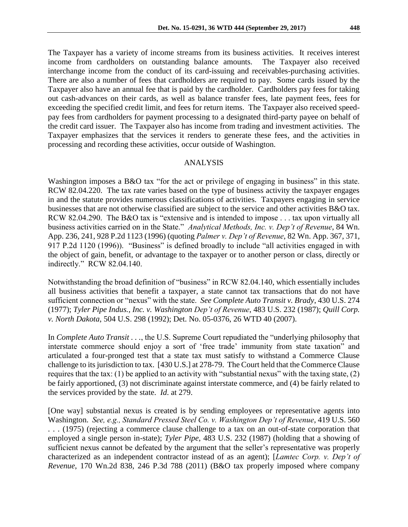The Taxpayer has a variety of income streams from its business activities. It receives interest income from cardholders on outstanding balance amounts. The Taxpayer also received interchange income from the conduct of its card-issuing and receivables-purchasing activities. There are also a number of fees that cardholders are required to pay. Some cards issued by the Taxpayer also have an annual fee that is paid by the cardholder. Cardholders pay fees for taking out cash-advances on their cards, as well as balance transfer fees, late payment fees, fees for exceeding the specified credit limit, and fees for return items. The Taxpayer also received speedpay fees from cardholders for payment processing to a designated third-party payee on behalf of the credit card issuer. The Taxpayer also has income from trading and investment activities. The Taxpayer emphasizes that the services it renders to generate these fees, and the activities in processing and recording these activities, occur outside of Washington.

#### ANALYSIS

Washington imposes a B&O tax "for the act or privilege of engaging in business" in this state. RCW 82.04.220. The tax rate varies based on the type of business activity the taxpayer engages in and the statute provides numerous classifications of activities. Taxpayers engaging in service businesses that are not otherwise classified are subject to the service and other activities B&O tax. RCW 82.04.290. The B&O tax is "extensive and is intended to impose . . . tax upon virtually all business activities carried on in the State." *Analytical Methods, Inc. v. Dep't of Revenue*, 84 Wn. App. 236, 241, 928 P.2d 1123 (1996) (quoting *Palmer v. Dep't of Revenue*, 82 Wn. App. 367, 371, 917 P.2d 1120 (1996)). "Business" is defined broadly to include "all activities engaged in with the object of gain, benefit, or advantage to the taxpayer or to another person or class, directly or indirectly." RCW 82.04.140.

Notwithstanding the broad definition of "business" in RCW 82.04.140, which essentially includes all business activities that benefit a taxpayer, a state cannot tax transactions that do not have sufficient connection or "nexus" with the state. *See Complete Auto Transit v. Brady*, 430 U.S. 274 (1977); *Tyler Pipe Indus., Inc. v. Washington Dep't of Revenue*, 483 U.S. 232 (1987); *Quill Corp. v. North Dakota*, 504 U.S. 298 (1992); Det. No. 05-0376, 26 WTD 40 (2007).

In *Complete Auto Transit . . .*, the U.S. Supreme Court repudiated the "underlying philosophy that interstate commerce should enjoy a sort of 'free trade' immunity from state taxation" and articulated a four-pronged test that a state tax must satisfy to withstand a Commerce Clause challenge to its jurisdiction to tax. [430 U.S.] at 278-79. The Court held that the Commerce Clause requires that the tax: (1) be applied to an activity with "substantial nexus" with the taxing state, (2) be fairly apportioned, (3) not discriminate against interstate commerce, and (4) be fairly related to the services provided by the state. *Id*. at 279.

[One way] substantial nexus is created is by sending employees or representative agents into Washington. *See, e.g., Standard Pressed Steel Co. v. Washington Dep't of Revenue*, 419 U.S. 560 . . . (1975) (rejecting a commerce clause challenge to a tax on an out-of-state corporation that employed a single person in-state); *Tyler Pipe*, 483 U.S. 232 (1987) (holding that a showing of sufficient nexus cannot be defeated by the argument that the seller's representative was properly characterized as an independent contractor instead of as an agent); [*Lamtec Corp. v. Dep't of Revenue*, 170 Wn.2d 838, 246 P.3d 788 (2011) (B&O tax properly imposed where company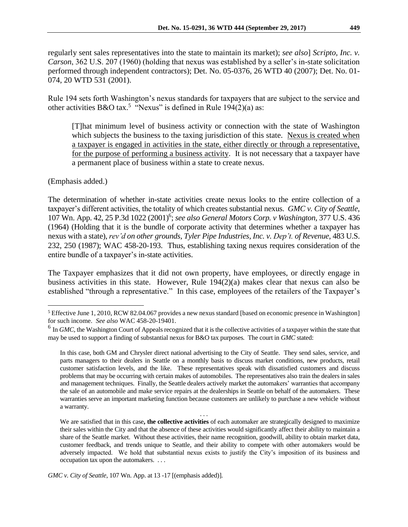regularly sent sales representatives into the state to maintain its market); *see also*] *Scripto, Inc. v. Carson*, 362 U.S. 207 (1960) (holding that nexus was established by a seller's in-state solicitation performed through independent contractors); Det. No. 05-0376, 26 WTD 40 (2007); Det. No. 01- 074, 20 WTD 531 (2001).

Rule 194 sets forth Washington's nexus standards for taxpayers that are subject to the service and other activities B&O tax.<sup>5</sup> "Nexus" is defined in Rule 194(2)(a) as:

[T]hat minimum level of business activity or connection with the state of Washington which subjects the business to the taxing jurisdiction of this state. Nexus is created when a taxpayer is engaged in activities in the state, either directly or through a representative, for the purpose of performing a business activity. It is not necessary that a taxpayer have a permanent place of business within a state to create nexus.

## (Emphasis added.)

The determination of whether in-state activities create nexus looks to the entire collection of a taxpayer's different activities, the totality of which creates substantial nexus. *GMC v. City of Seattle*, 107 Wn. App. 42, 25 P.3d 1022 (2001)<sup>6</sup> ; *see also General Motors Corp. v Washington,* 377 U.S. 436 (1964) (Holding that it is the bundle of corporate activity that determines whether a taxpayer has nexus with a state), *rev'd on other grounds, Tyler Pipe Industries, Inc. v. Dep't. of Revenue*, 483 U.S. 232, 250 (1987); WAC 458-20-193. Thus, establishing taxing nexus requires consideration of the entire bundle of a taxpayer's in-state activities.

The Taxpayer emphasizes that it did not own property, have employees, or directly engage in business activities in this state. However, Rule 194(2)(a) makes clear that nexus can also be established "through a representative." In this case, employees of the retailers of the Taxpayer's

. . .

 $\overline{a}$ <sup>5</sup> Effective June 1, 2010, RCW 82.04.067 provides a new nexus standard [based on economic presence in Washington] for such income. *See also* WAC 458-20-19401.

<sup>&</sup>lt;sup>6</sup> In *GMC*, the Washington Court of Appeals recognized that it is the collective activities of a taxpayer within the state that may be used to support a finding of substantial nexus for B&O tax purposes*.* The court in *GMC* stated:

In this case, both GM and Chrysler direct national advertising to the City of Seattle. They send sales, service, and parts managers to their dealers in Seattle on a monthly basis to discuss market conditions, new products, retail customer satisfaction levels, and the like. These representatives speak with dissatisfied customers and discuss problems that may be occurring with certain makes of automobiles. The representatives also train the dealers in sales and management techniques. Finally, the Seattle dealers actively market the automakers' warranties that accompany the sale of an automobile and make service repairs at the dealerships in Seattle on behalf of the automakers. These warranties serve an important marketing function because customers are unlikely to purchase a new vehicle without a warranty.

We are satisfied that in this case**, the collective activities** of each automaker are strategically designed to maximize their sales within the City and that the absence of these activities would significantly affect their ability to maintain a share of the Seattle market. Without these activities, their name recognition, goodwill, ability to obtain market data, customer feedback, and trends unique to Seattle, and their ability to compete with other automakers would be adversely impacted. We hold that substantial nexus exists to justify the City's imposition of its business and occupation tax upon the automakers. . . .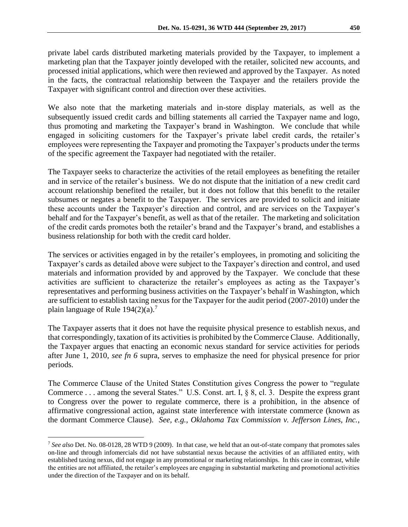private label cards distributed marketing materials provided by the Taxpayer, to implement a marketing plan that the Taxpayer jointly developed with the retailer, solicited new accounts, and processed initial applications, which were then reviewed and approved by the Taxpayer. As noted in the facts, the contractual relationship between the Taxpayer and the retailers provide the Taxpayer with significant control and direction over these activities.

We also note that the marketing materials and in-store display materials, as well as the subsequently issued credit cards and billing statements all carried the Taxpayer name and logo, thus promoting and marketing the Taxpayer's brand in Washington. We conclude that while engaged in soliciting customers for the Taxpayer's private label credit cards, the retailer's employees were representing the Taxpayer and promoting the Taxpayer's products under the terms of the specific agreement the Taxpayer had negotiated with the retailer.

The Taxpayer seeks to characterize the activities of the retail employees as benefiting the retailer and in service of the retailer's business. We do not dispute that the initiation of a new credit card account relationship benefited the retailer, but it does not follow that this benefit to the retailer subsumes or negates a benefit to the Taxpayer. The services are provided to solicit and initiate these accounts under the Taxpayer's direction and control, and are services on the Taxpayer's behalf and for the Taxpayer's benefit, as well as that of the retailer. The marketing and solicitation of the credit cards promotes both the retailer's brand and the Taxpayer's brand, and establishes a business relationship for both with the credit card holder.

The services or activities engaged in by the retailer's employees, in promoting and soliciting the Taxpayer's cards as detailed above were subject to the Taxpayer's direction and control, and used materials and information provided by and approved by the Taxpayer. We conclude that these activities are sufficient to characterize the retailer's employees as acting as the Taxpayer's representatives and performing business activities on the Taxpayer's behalf in Washington, which are sufficient to establish taxing nexus for the Taxpayer for the audit period (2007-2010) under the plain language of Rule  $194(2)(a)$ .<sup>7</sup>

The Taxpayer asserts that it does not have the requisite physical presence to establish nexus, and that correspondingly, taxation of its activities is prohibited by the Commerce Clause. Additionally, the Taxpayer argues that enacting an economic nexus standard for service activities for periods after June 1, 2010, *see fn 6* supra, serves to emphasize the need for physical presence for prior periods.

The Commerce Clause of the United States Constitution gives Congress the power to "regulate Commerce . . . among the several States." U.S. Const. art. I, § 8, cl. 3. Despite the express grant to Congress over the power to regulate commerce, there is a prohibition, in the absence of affirmative congressional action, against state interference with interstate commerce (known as the dormant Commerce Clause). *See, e.g., Oklahoma Tax Commission v. Jefferson Lines, Inc.*,

 $\overline{a}$ 

<sup>7</sup> *See also* Det. No. 08-0128, 28 WTD 9 (2009). In that case, we held that an out-of-state company that promotes sales on-line and through infomercials did not have substantial nexus because the activities of an affiliated entity, with established taxing nexus, did not engage in any promotional or marketing relationships. In this case in contrast, while the entities are not affiliated, the retailer's employees are engaging in substantial marketing and promotional activities under the direction of the Taxpayer and on its behalf.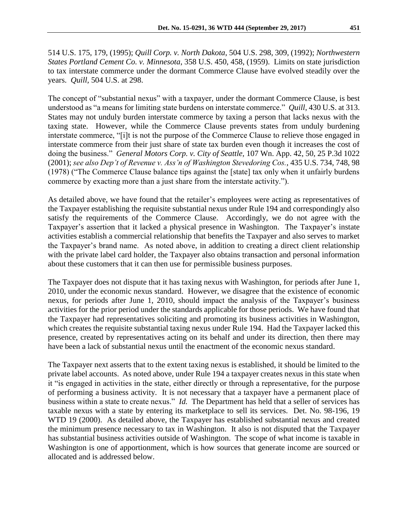514 U.S. 175, 179, (1995); *Quill Corp. v. North Dakota*, 504 U.S. 298, 309, (1992); *Northwestern States Portland Cement Co. v. Minnesota*, 358 U.S. 450, 458, (1959). Limits on state jurisdiction to tax interstate commerce under the dormant Commerce Clause have evolved steadily over the years. *Quill,* 504 U.S. at 298.

The concept of "substantial nexus" with a taxpayer, under the dormant Commerce Clause, is best understood as "a means for limiting state burdens on interstate commerce." *Quill*, 430 U.S. at 313. States may not unduly burden interstate commerce by taxing a person that lacks nexus with the taxing state. However, while the Commerce Clause prevents states from unduly burdening interstate commerce, "[i]t is not the purpose of the Commerce Clause to relieve those engaged in interstate commerce from their just share of state tax burden even though it increases the cost of doing the business." *General Motors Corp. v. City of Seattle,* 107 Wn. App. 42, 50, 25 P.3d 1022 (2001); *see also Dep't of Revenue v. Ass'n of Washington Stevedoring Cos.*, 435 U.S. 734, 748, 98 (1978) ("The Commerce Clause balance tips against the [state] tax only when it unfairly burdens commerce by exacting more than a just share from the interstate activity.").

As detailed above, we have found that the retailer's employees were acting as representatives of the Taxpayer establishing the requisite substantial nexus under Rule 194 and correspondingly also satisfy the requirements of the Commerce Clause. Accordingly, we do not agree with the Taxpayer's assertion that it lacked a physical presence in Washington. The Taxpayer's instate activities establish a commercial relationship that benefits the Taxpayer and also serves to market the Taxpayer's brand name. As noted above, in addition to creating a direct client relationship with the private label card holder, the Taxpayer also obtains transaction and personal information about these customers that it can then use for permissible business purposes.

The Taxpayer does not dispute that it has taxing nexus with Washington, for periods after June 1, 2010, under the economic nexus standard. However, we disagree that the existence of economic nexus, for periods after June 1, 2010, should impact the analysis of the Taxpayer's business activities for the prior period under the standards applicable for those periods. We have found that the Taxpayer had representatives soliciting and promoting its business activities in Washington, which creates the requisite substantial taxing nexus under Rule 194. Had the Taxpayer lacked this presence, created by representatives acting on its behalf and under its direction, then there may have been a lack of substantial nexus until the enactment of the economic nexus standard.

The Taxpayer next asserts that to the extent taxing nexus is established, it should be limited to the private label accounts. As noted above, under Rule 194 a taxpayer creates nexus in this state when it "is engaged in activities in the state, either directly or through a representative, for the purpose of performing a business activity. It is not necessary that a taxpayer have a permanent place of business within a state to create nexus." *Id.* The Department has held that a seller of services has taxable nexus with a state by entering its marketplace to sell its services. Det. No. 98-196, 19 WTD 19 (2000). As detailed above, the Taxpayer has established substantial nexus and created the minimum presence necessary to tax in Washington. It also is not disputed that the Taxpayer has substantial business activities outside of Washington. The scope of what income is taxable in Washington is one of apportionment, which is how sources that generate income are sourced or allocated and is addressed below.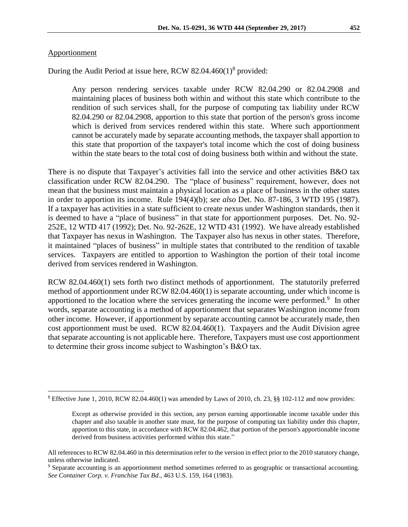#### Apportionment

 $\overline{a}$ 

During the Audit Period at issue here, RCW 82.04.460(1)<sup>8</sup> provided:

Any person rendering services taxable under RCW [82.04.290](file:///C:/w/w_tldd.com;%3fZ=x.x&Doc=RCW+82.04.290&Are=RCW+HTML&Cab=RCW+82&Dra=RCW+82.04&FOL=All+SECTIONS&Bie=0&Sty=Ext&Ext=Html) or [82.04.2908](file:///C:/w/w_tldd.com;%3fZ=x.x&Doc=RCW+82.04.2908&Are=RCW+HTML&Cab=RCW+82&Dra=RCW+82.04&FOL=All+SECTIONS&Bie=0&Sty=Ext&Ext=Html) and maintaining places of business both within and without this state which contribute to the rendition of such services shall, for the purpose of computing tax liability under RCW [82.04.290](file:///C:/w/w_tldd.com;%3fZ=x.x&Doc=RCW+82.04.290&Are=RCW+HTML&Cab=RCW+82&Dra=RCW+82.04&FOL=All+SECTIONS&Bie=0&Sty=Ext&Ext=Html) or [82.04.2908,](file:///C:/w/w_tldd.com;%3fZ=x.x&Doc=RCW+82.04.2908&Are=RCW+HTML&Cab=RCW+82&Dra=RCW+82.04&FOL=All+SECTIONS&Bie=0&Sty=Ext&Ext=Html) apportion to this state that portion of the person's gross income which is derived from services rendered within this state. Where such apportionment cannot be accurately made by separate accounting methods, the taxpayer shall apportion to this state that proportion of the taxpayer's total income which the cost of doing business within the state bears to the total cost of doing business both within and without the state.

There is no dispute that Taxpayer's activities fall into the service and other activities B&O tax classification under RCW 82.04.290. The "place of business" requirement, however, does not mean that the business must maintain a physical location as a place of business in the other states in order to apportion its income. Rule 194(4)(b); *see also* Det. No. 87-186, 3 WTD 195 (1987). If a taxpayer has activities in a state sufficient to create nexus under Washington standards, then it is deemed to have a "place of business" in that state for apportionment purposes. Det. No. 92- 252E, 12 WTD 417 (1992); Det. No. 92-262E, 12 WTD 431 (1992). We have already established that Taxpayer has nexus in Washington. The Taxpayer also has nexus in other states. Therefore, it maintained "places of business" in multiple states that contributed to the rendition of taxable services. Taxpayers are entitled to apportion to Washington the portion of their total income derived from services rendered in Washington.

RCW 82.04.460(1) sets forth two distinct methods of apportionment. The statutorily preferred method of apportionment under RCW 82.04.460(1) is separate accounting, under which income is apportioned to the location where the services generating the income were performed. $9$  In other words, separate accounting is a method of apportionment that separates Washington income from other income. However, if apportionment by separate accounting cannot be accurately made, then cost apportionment must be used. RCW 82.04.460(1). Taxpayers and the Audit Division agree that separate accounting is not applicable here. Therefore, Taxpayers must use cost apportionment to determine their gross income subject to Washington's B&O tax.

 $8$  Effective June 1, 2010, RCW 82.04.460(1) was amended by Laws of 2010, ch. 23,  $\S$  102-112 and now provides:

Except as otherwise provided in this section, any person earning apportionable income taxable under this chapter and also taxable in another state must, for the purpose of computing tax liability under this chapter, apportion to this state, in accordance with RC[W 82.04.462,](http://apps.leg.wa.gov/rcw/default.aspx?cite=82.04.462) that portion of the person's apportionable income derived from business activities performed within this state."

All references to RCW 82.04.460 in this determination refer to the version in effect prior to the 2010 statutory change, unless otherwise indicated.

<sup>9</sup> Separate accounting is an apportionment method sometimes referred to as geographic or transactional accounting. *See Container Corp. v. Franchise Tax Bd*., 463 U.S. 159, 164 (1983).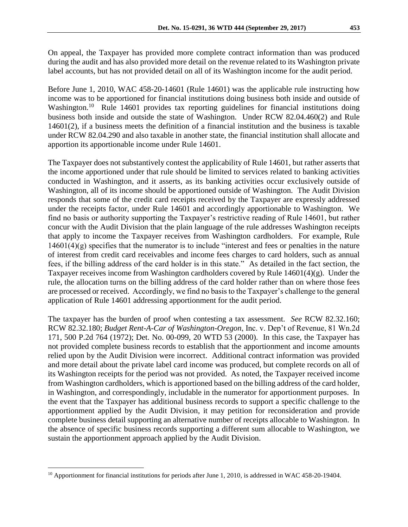On appeal, the Taxpayer has provided more complete contract information than was produced during the audit and has also provided more detail on the revenue related to its Washington private label accounts, but has not provided detail on all of its Washington income for the audit period.

Before June 1, 2010, WAC 458-20-14601 (Rule 14601) was the applicable rule instructing how income was to be apportioned for financial institutions doing business both inside and outside of Washington.<sup>10</sup> Rule 14601 provides tax reporting guidelines for financial institutions doing business both inside and outside the state of Washington. Under RCW 82.04.460(2) and Rule 14601(2), if a business meets the definition of a financial institution and the business is taxable under RCW 82.04.290 and also taxable in another state, the financial institution shall allocate and apportion its apportionable income under Rule 14601.

The Taxpayer does not substantively contest the applicability of Rule 14601, but rather asserts that the income apportioned under that rule should be limited to services related to banking activities conducted in Washington, and it asserts, as its banking activities occur exclusively outside of Washington, all of its income should be apportioned outside of Washington. The Audit Division responds that some of the credit card receipts received by the Taxpayer are expressly addressed under the receipts factor, under Rule 14601 and accordingly apportionable to Washington. We find no basis or authority supporting the Taxpayer's restrictive reading of Rule 14601, but rather concur with the Audit Division that the plain language of the rule addresses Washington receipts that apply to income the Taxpayer receives from Washington cardholders. For example, Rule  $14601(4)(g)$  specifies that the numerator is to include "interest and fees or penalties in the nature of interest from credit card receivables and income fees charges to card holders, such as annual fees, if the billing address of the card holder is in this state." As detailed in the fact section, the Taxpayer receives income from Washington cardholders covered by Rule 14601(4)(g). Under the rule, the allocation turns on the billing address of the card holder rather than on where those fees are processed or received. Accordingly, we find no basis to the Taxpayer's challenge to the general application of Rule 14601 addressing apportionment for the audit period.

The taxpayer has the burden of proof when contesting a tax assessment. *See* RCW 82.32.160; RCW 82.32.180; *Budget Rent-A-Car of Washington-Oregon*, Inc. v. Dep't of Revenue, 81 Wn.2d 171, 500 P.2d 764 (1972); Det. No. 00-099, 20 WTD 53 (2000). In this case, the Taxpayer has not provided complete business records to establish that the apportionment and income amounts relied upon by the Audit Division were incorrect. Additional contract information was provided and more detail about the private label card income was produced, but complete records on all of its Washington receipts for the period was not provided. As noted, the Taxpayer received income from Washington cardholders, which is apportioned based on the billing address of the card holder, in Washington, and correspondingly, includable in the numerator for apportionment purposes. In the event that the Taxpayer has additional business records to support a specific challenge to the apportionment applied by the Audit Division, it may petition for reconsideration and provide complete business detail supporting an alternative number of receipts allocable to Washington. In the absence of specific business records supporting a different sum allocable to Washington, we sustain the apportionment approach applied by the Audit Division.

 $\overline{a}$ 

<sup>&</sup>lt;sup>10</sup> Apportionment for financial institutions for periods after June 1, 2010, is addressed in WAC 458-20-19404.